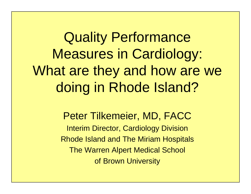Quality Performance Measures in Cardiology: What are they and how are we doing in Rhode Island?

> Peter Tilkemeier, MD, FACC Interim Director, Cardiology Division Rhode Island and The Miriam Hospitals The Warren Alpert Medical School of Brown University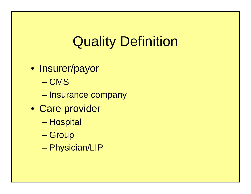# Quality Definition

- Insurer/payor
	- CMS
	- Insurance company
- Care provider
	- Hospital
	- –**Group**
	- –Physician/LIP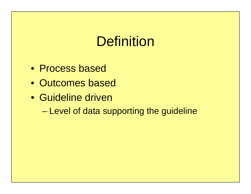# **Definition**

- Process based
- Outcomes based
- Guideline driven
	- –Level of data supporting the guideline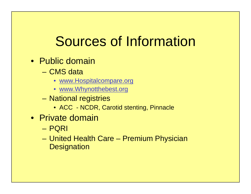# Sources of Information

- Public domain
	- CMS data
		- www.Hospitalcompare.org
		- www.Whynotthebest.org
	- – National registries
		- ACC NCDR, Carotid stenting, Pinnacle
- Private domain
	- PQRI
	- United Health Care Premium Physician **Designation**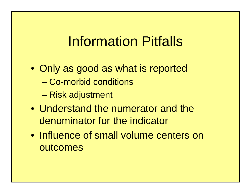## Information Pitfalls

- Only as good as what is reported – Co-morbid conditions
	- Risk adjustment
- Understand the numerator and the denominator for the indicator
- Influence of small volume centers on outcomes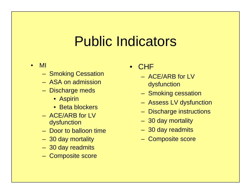# Public Indicators

- • MI
	- Smoking Cessation
	- ASA on admission
	- Discharge meds
		- Aspirin
		- Beta blockers
	- ACE/ARB for LV dysfunction
	- Door to balloon time
	- 30 day mortality
	- 30 day readmits
	- Composite score
- $\bullet$ **CHF** 
	- ACE/ARB for LV dysfunction
	- Smoking cessation
	- Assess LV dysfunction
	- Discharge instructions
	- 30 day mortality
	- 30 day readmits
	- Composite score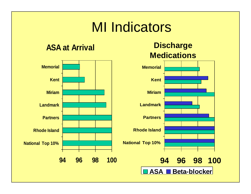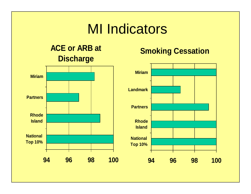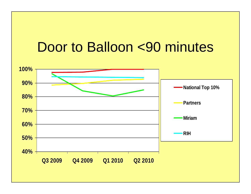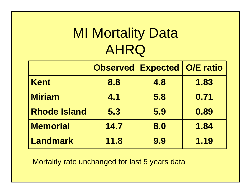# **MI Mortality Data** AHRQ

|                     | <b>Observed</b> | <b>Expected</b> | <b>O/E ratio</b> |
|---------------------|-----------------|-----------------|------------------|
| <b>Kent</b>         | 8.8             | 4.8             | 1.83             |
| <b>Miriam</b>       | 4.1             | 5.8             | 0.71             |
| <b>Rhode Island</b> | 5.3             | 5.9             | 0.89             |
| <b>Memorial</b>     | 14.7            | 8.0             | 1.84             |
| Landmark            | 11.8            | 9.9             | 1.19             |

Mortality rate unchanged for last 5 years data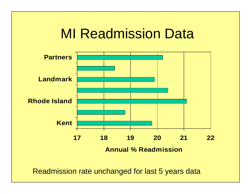### **MI Readmission Data**



Readmission rate unchanged for last 5 years data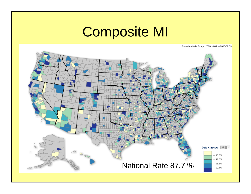## Composite MI

Reporting Date Range: 2009-10-01 to 2010-09-30

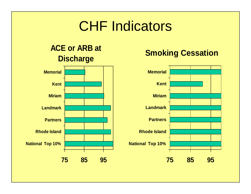## CHF Indicators

#### **ACE or ARB at Discharge**



#### **Smoking Cessation**

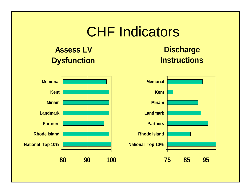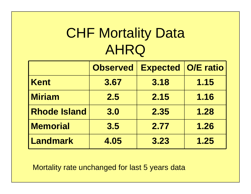# **CHF Mortality Data** AHRQ

|                     | <b>Observed</b> | <b>Expected O/E ratio</b> |      |
|---------------------|-----------------|---------------------------|------|
| <b>Kent</b>         | 3.67            | 3.18                      | 1.15 |
| <b>Miriam</b>       | 2.5             | 2.15                      | 1.16 |
| <b>Rhode Island</b> | 3.0             | 2.35                      | 1.28 |
| <b>Memorial</b>     | 3.5             | 2.77                      | 1.26 |
| <b>Landmark</b>     | 4.05            | 3.23                      | 1.25 |

Mortality rate unchanged for last 5 years data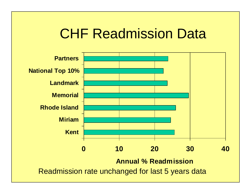### CHF Readmission Data

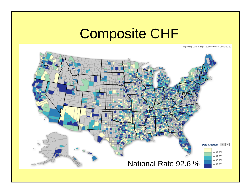# Composite CHF

Reporting Date Flange: 2009-10-01 to 2010-09-30